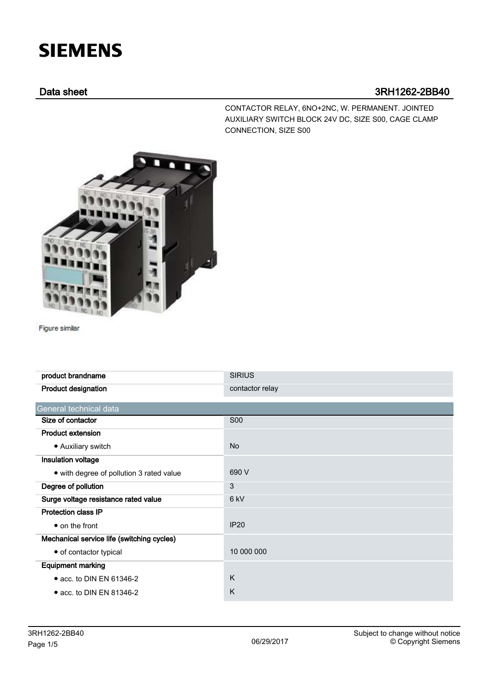# **SIEMENS**

## Data sheet 3RH1262-2BB40

CONTACTOR RELAY, 6NO+2NC, W. PERMANENT. JOINTED AUXILIARY SWITCH BLOCK 24V DC, SIZE S00, CAGE CLAMP CONNECTION, SIZE S00



Figure similar

| product brandname                          | <b>SIRIUS</b>   |
|--------------------------------------------|-----------------|
| <b>Product designation</b>                 | contactor relay |
| General technical data                     |                 |
| Size of contactor                          | <b>S00</b>      |
| <b>Product extension</b>                   |                 |
| • Auxiliary switch                         | <b>No</b>       |
| Insulation voltage                         |                 |
| • with degree of pollution 3 rated value   | 690 V           |
| Degree of pollution                        | 3               |
| Surge voltage resistance rated value       | 6 <sub>kV</sub> |
| <b>Protection class IP</b>                 |                 |
| $\bullet$ on the front                     | <b>IP20</b>     |
| Mechanical service life (switching cycles) |                 |
| • of contactor typical                     | 10 000 000      |
| <b>Equipment marking</b>                   |                 |
| $\bullet$ acc. to DIN EN 61346-2           | K               |
| $\bullet$ acc. to DIN EN 81346-2           | K               |
|                                            |                 |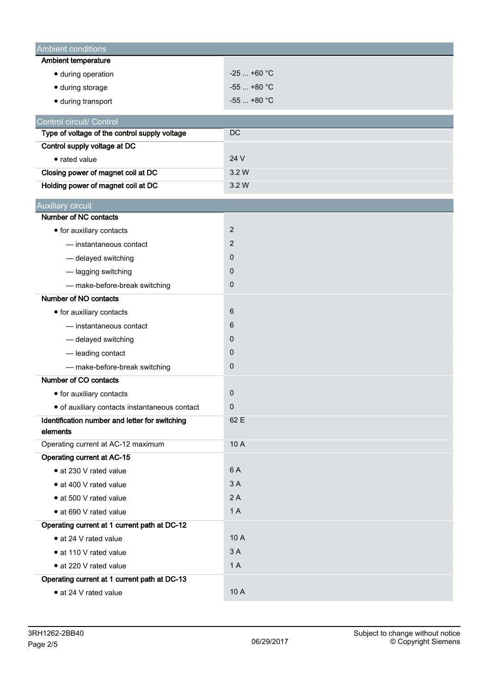| Ambient conditions                                         |                |  |  |  |
|------------------------------------------------------------|----------------|--|--|--|
| <b>Ambient temperature</b>                                 |                |  |  |  |
| · during operation                                         | $-25$ +60 °C   |  |  |  |
| · during storage                                           | $-55$ +80 °C   |  |  |  |
| · during transport                                         | $-55$ +80 °C   |  |  |  |
| Control circuit/ Control                                   |                |  |  |  |
| Type of voltage of the control supply voltage              | <b>DC</b>      |  |  |  |
| Control supply voltage at DC                               |                |  |  |  |
| • rated value                                              | 24 V           |  |  |  |
| Closing power of magnet coil at DC                         | 3.2W           |  |  |  |
| Holding power of magnet coil at DC                         | 3.2 W          |  |  |  |
| <b>Auxiliary circuit</b>                                   |                |  |  |  |
| Number of NC contacts                                      |                |  |  |  |
| • for auxiliary contacts                                   | $\overline{2}$ |  |  |  |
| - instantaneous contact                                    | 2              |  |  |  |
| - delayed switching                                        | 0              |  |  |  |
| - lagging switching                                        | 0              |  |  |  |
| - make-before-break switching                              | 0              |  |  |  |
| Number of NO contacts                                      |                |  |  |  |
| • for auxiliary contacts                                   | 6              |  |  |  |
| - instantaneous contact                                    | 6              |  |  |  |
| - delayed switching                                        | 0              |  |  |  |
| - leading contact                                          | 0              |  |  |  |
| - make-before-break switching                              | 0              |  |  |  |
| Number of CO contacts                                      |                |  |  |  |
| • for auxiliary contacts                                   | 0              |  |  |  |
| · of auxiliary contacts instantaneous contact              | 0              |  |  |  |
| Identification number and letter for switching<br>elements | 62 E           |  |  |  |
| Operating current at AC-12 maximum                         | 10 A           |  |  |  |
| <b>Operating current at AC-15</b>                          |                |  |  |  |
| · at 230 V rated value                                     | 6 A            |  |  |  |
| • at 400 V rated value                                     | 3A             |  |  |  |
| • at 500 V rated value                                     | 2A             |  |  |  |
| • at 690 V rated value                                     | 1A             |  |  |  |
| Operating current at 1 current path at DC-12               |                |  |  |  |
| • at 24 V rated value                                      | 10 A           |  |  |  |
| • at 110 V rated value                                     | 3A             |  |  |  |
| • at 220 V rated value                                     | 1A             |  |  |  |
| Operating current at 1 current path at DC-13               |                |  |  |  |
| • at 24 V rated value                                      | 10 A           |  |  |  |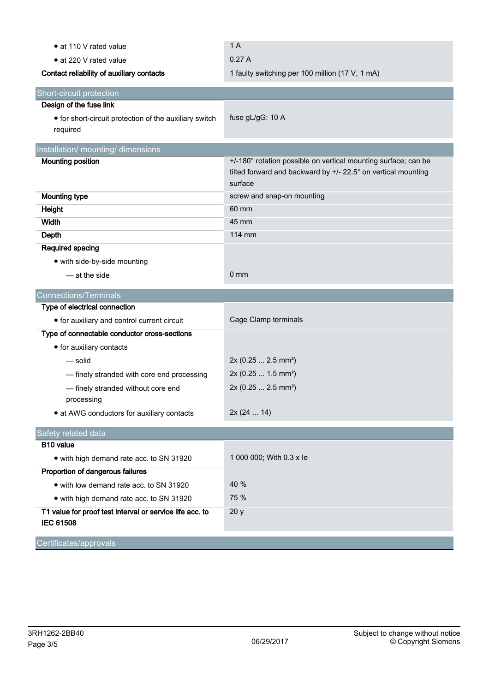| • at 110 V rated value                                                       | 1A                                                                                                                                         |  |  |  |
|------------------------------------------------------------------------------|--------------------------------------------------------------------------------------------------------------------------------------------|--|--|--|
| • at 220 V rated value                                                       | 0.27A                                                                                                                                      |  |  |  |
| Contact reliability of auxiliary contacts                                    | 1 faulty switching per 100 million (17 V, 1 mA)                                                                                            |  |  |  |
| Short-circuit protection                                                     |                                                                                                                                            |  |  |  |
| Design of the fuse link                                                      |                                                                                                                                            |  |  |  |
| • for short-circuit protection of the auxiliary switch<br>required           | fuse gL/gG: 10 A                                                                                                                           |  |  |  |
| Installation/ mounting/ dimensions                                           |                                                                                                                                            |  |  |  |
| <b>Mounting position</b>                                                     | +/-180° rotation possible on vertical mounting surface; can be<br>tilted forward and backward by +/- 22.5° on vertical mounting<br>surface |  |  |  |
| <b>Mounting type</b>                                                         | screw and snap-on mounting                                                                                                                 |  |  |  |
| Height                                                                       | 60 mm                                                                                                                                      |  |  |  |
| Width                                                                        | 45 mm                                                                                                                                      |  |  |  |
| Depth                                                                        | 114 mm                                                                                                                                     |  |  |  |
| Required spacing                                                             |                                                                                                                                            |  |  |  |
| • with side-by-side mounting                                                 |                                                                                                                                            |  |  |  |
| - at the side                                                                | $0 \text{ mm}$                                                                                                                             |  |  |  |
| <b>Connections/Terminals</b>                                                 |                                                                                                                                            |  |  |  |
| Type of electrical connection                                                |                                                                                                                                            |  |  |  |
| • for auxiliary and control current circuit                                  | Cage Clamp terminals                                                                                                                       |  |  |  |
| Type of connectable conductor cross-sections                                 |                                                                                                                                            |  |  |  |
| • for auxiliary contacts                                                     |                                                                                                                                            |  |  |  |
| — solid                                                                      | 2x (0.25  2.5 mm <sup>2</sup> )                                                                                                            |  |  |  |
| - finely stranded with core end processing                                   | 2x (0.25  1.5 mm <sup>2</sup> )                                                                                                            |  |  |  |
| - finely stranded without core end<br>processing                             | 2x (0.25  2.5 mm <sup>2</sup> )                                                                                                            |  |  |  |
| • at AWG conductors for auxiliary contacts                                   | 2x (24  14)                                                                                                                                |  |  |  |
| Safety related data                                                          |                                                                                                                                            |  |  |  |
| <b>B10 value</b>                                                             |                                                                                                                                            |  |  |  |
| • with high demand rate acc. to SN 31920                                     | 1 000 000; With 0.3 x le                                                                                                                   |  |  |  |
| Proportion of dangerous failures                                             |                                                                                                                                            |  |  |  |
| • with low demand rate acc. to SN 31920                                      | 40 %                                                                                                                                       |  |  |  |
| • with high demand rate acc. to SN 31920                                     | 75 %                                                                                                                                       |  |  |  |
| T1 value for proof test interval or service life acc. to<br><b>IEC 61508</b> | 20y                                                                                                                                        |  |  |  |
| Certificates/approvals                                                       |                                                                                                                                            |  |  |  |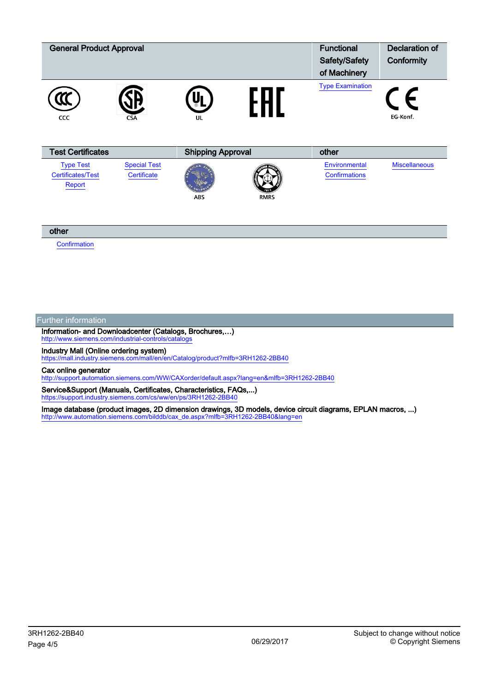| <b>General Product Approval</b>                        |                                    |                          |             | <b>Functional</b><br>Safety/Safety<br>of Machinery | Declaration of<br>Conformity |
|--------------------------------------------------------|------------------------------------|--------------------------|-------------|----------------------------------------------------|------------------------------|
| CCC                                                    | <b>CSA</b>                         | UL                       |             | <b>Type Examination</b>                            | EG-Konf.                     |
| <b>Test Certificates</b>                               |                                    | <b>Shipping Approval</b> |             | other                                              |                              |
| <b>Type Test</b><br><b>Certificates/Test</b><br>Report | <b>Special Test</b><br>Certificate | <b>ABS</b>               | <b>RMRS</b> | Environmental<br><b>Confirmations</b>              | <b>Miscellaneous</b>         |

#### other

**[Confirmation](https://support.industry.siemens.com/cs/WW/en/ps/3RH1262-2BB40/Certificate?ct=447&ci=454&cao=553)** 

#### Further information

Information- and Downloadcenter (Catalogs, Brochures,…) http://www.siemens.com/industrial-controls/catal

Industry Mall (Online ordering system)

<https://mall.industry.siemens.com/mall/en/en/Catalog/product?mlfb=3RH1262-2BB40>

### Cax online generator

<http://support.automation.siemens.com/WW/CAXorder/default.aspx?lang=en&mlfb=3RH1262-2BB40>

Service&Support (Manuals, Certificates, Characteristics, FAQs,...) <https://support.industry.siemens.com/cs/ww/en/ps/3RH1262-2BB40>

Image database (product images, 2D dimension drawings, 3D models, device circuit diagrams, EPLAN macros, ...) [http://www.automation.siemens.com/bilddb/cax\\_de.aspx?mlfb=3RH1262-2BB40&lang=en](http://www.automation.siemens.com/bilddb/cax_de.aspx?mlfb=3RH1262-2BB40&lang=en)